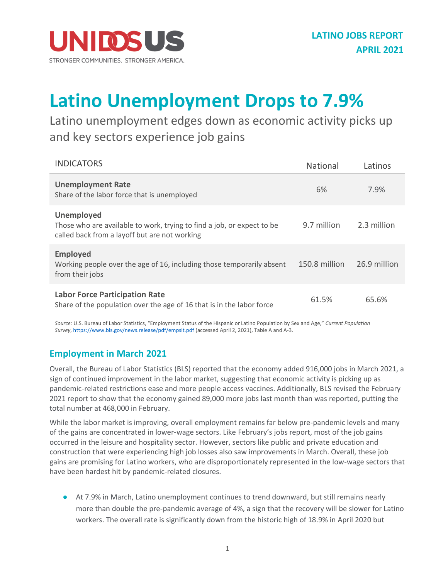

## **Latino Unemployment Drops to 7.9%**

Latino unemployment edges down as economic activity picks up and key sectors experience job gains

| <b>INDICATORS</b>                                                                                                                            | <b>National</b> | Latinos      |
|----------------------------------------------------------------------------------------------------------------------------------------------|-----------------|--------------|
| <b>Unemployment Rate</b><br>Share of the labor force that is unemployed                                                                      | 6%              | 7.9%         |
| <b>Unemployed</b><br>Those who are available to work, trying to find a job, or expect to be<br>called back from a layoff but are not working | 9.7 million     | 2.3 million  |
| <b>Employed</b><br>Working people over the age of 16, including those temporarily absent<br>from their jobs                                  | 150.8 million   | 26.9 million |
| <b>Labor Force Participation Rate</b><br>Share of the population over the age of 16 that is in the labor force                               | 61.5%           | 65.6%        |

*Source:*U.S. Bureau of Labor Statistics, "Employment Status of the Hispanic or Latino Population by Sex and Age," *Current Population Survey*, <https://www.bls.gov/news.release/pdf/empsit.pdf> (accessed April 2, 2021), Table A and A-3.

## **Employment in March 2021**

Overall, the Bureau of Labor Statistics (BLS) reported that the economy added 916,000 jobs in March 2021, a sign of continued improvement in the labor market, suggesting that economic activity is picking up as pandemic-related restrictions ease and more people access vaccines. Additionally, BLS revised the February 2021 report to show that the economy gained 89,000 more jobs last month than was reported, putting the total number at 468,000 in February.

While the labor market is improving, overall employment remains far below pre-pandemic levels and many of the gains are concentrated in lower-wage sectors. Like February's jobs report, most of the job gains occurred in the leisure and hospitality sector. However, sectors like public and private education and construction that were experiencing high job losses also saw improvements in March. Overall, these job gains are promising for Latino workers, who are disproportionately represented in the low-wage sectors that have been hardest hit by pandemic-related closures.

● At 7.9% in March, Latino unemployment continues to trend downward, but still remains nearly more than double the pre-pandemic average of 4%, a sign that the recovery will be slower for Latino workers. The overall rate is significantly down from the historic high of 18.9% in April 2020 but